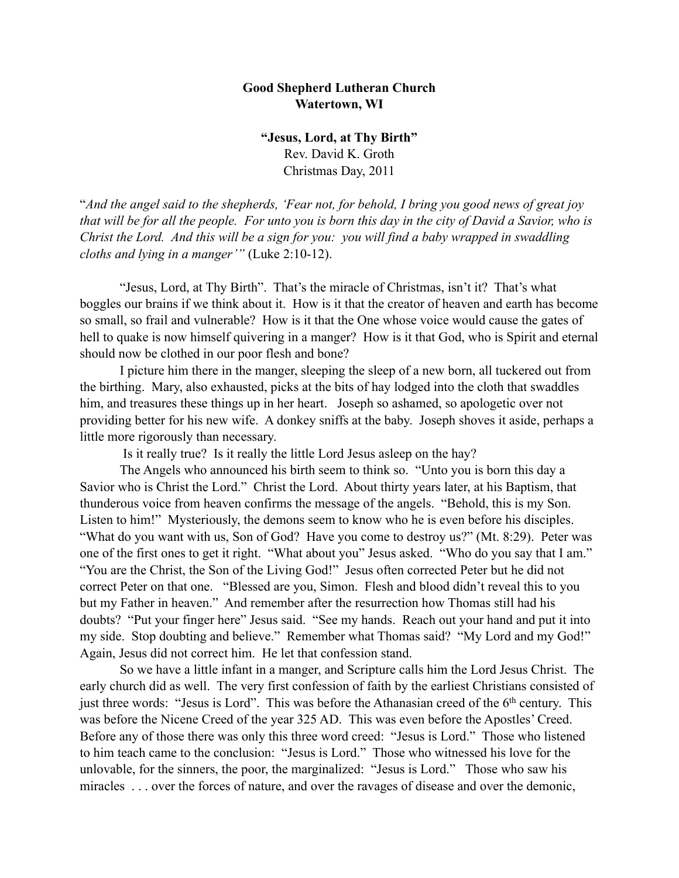## **Good Shepherd Lutheran Church Watertown, WI**

**"Jesus, Lord, at Thy Birth"** Rev. David K. Groth Christmas Day, 2011

"*And the angel said to the shepherds, 'Fear not, for behold, I bring you good news of great joy that will be for all the people. For unto you is born this day in the city of David a Savior, who is Christ the Lord. And this will be a sign for you: you will find a baby wrapped in swaddling cloths and lying in a manger'"* (Luke 2:10-12).

 "Jesus, Lord, at Thy Birth". That's the miracle of Christmas, isn't it? That's what boggles our brains if we think about it. How is it that the creator of heaven and earth has become so small, so frail and vulnerable? How is it that the One whose voice would cause the gates of hell to quake is now himself quivering in a manger? How is it that God, who is Spirit and eternal should now be clothed in our poor flesh and bone?

I picture him there in the manger, sleeping the sleep of a new born, all tuckered out from the birthing. Mary, also exhausted, picks at the bits of hay lodged into the cloth that swaddles him, and treasures these things up in her heart. Joseph so ashamed, so apologetic over not providing better for his new wife. A donkey sniffs at the baby. Joseph shoves it aside, perhaps a little more rigorously than necessary.

Is it really true? Is it really the little Lord Jesus asleep on the hay?

The Angels who announced his birth seem to think so. "Unto you is born this day a Savior who is Christ the Lord." Christ the Lord. About thirty years later, at his Baptism, that thunderous voice from heaven confirms the message of the angels. "Behold, this is my Son. Listen to him!" Mysteriously, the demons seem to know who he is even before his disciples. "What do you want with us, Son of God? Have you come to destroy us?" (Mt. 8:29). Peter was one of the first ones to get it right. "What about you" Jesus asked. "Who do you say that I am." "You are the Christ, the Son of the Living God!" Jesus often corrected Peter but he did not correct Peter on that one. "Blessed are you, Simon. Flesh and blood didn't reveal this to you but my Father in heaven." And remember after the resurrection how Thomas still had his doubts? "Put your finger here" Jesus said. "See my hands. Reach out your hand and put it into my side. Stop doubting and believe." Remember what Thomas said? "My Lord and my God!" Again, Jesus did not correct him. He let that confession stand.

So we have a little infant in a manger, and Scripture calls him the Lord Jesus Christ. The early church did as well. The very first confession of faith by the earliest Christians consisted of just three words: "Jesus is Lord". This was before the Athanasian creed of the 6th century. This was before the Nicene Creed of the year 325 AD. This was even before the Apostles' Creed. Before any of those there was only this three word creed: "Jesus is Lord." Those who listened to him teach came to the conclusion: "Jesus is Lord." Those who witnessed his love for the unlovable, for the sinners, the poor, the marginalized: "Jesus is Lord." Those who saw his miracles . . . over the forces of nature, and over the ravages of disease and over the demonic,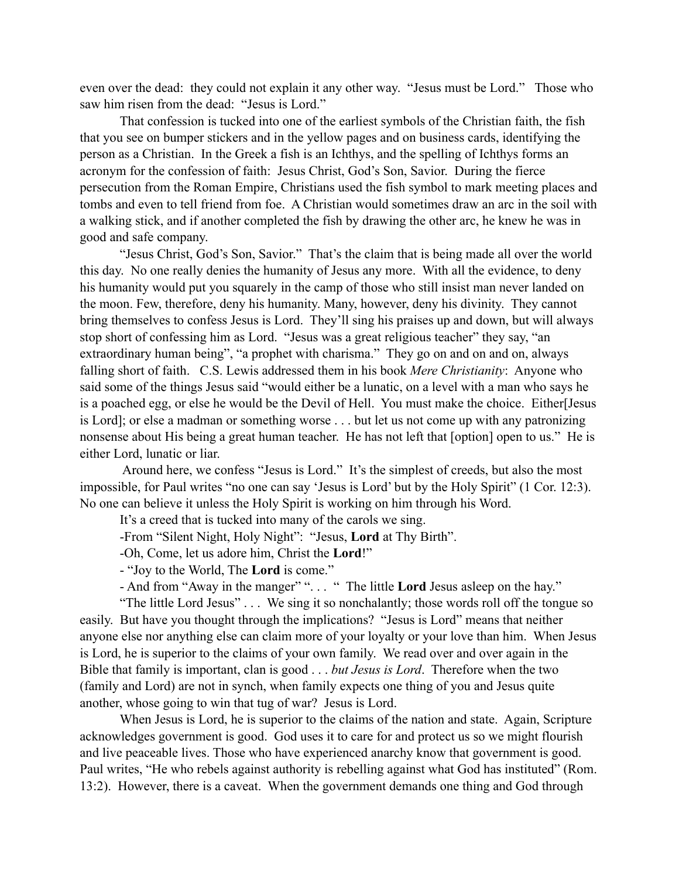even over the dead: they could not explain it any other way. "Jesus must be Lord." Those who saw him risen from the dead: "Jesus is Lord."

That confession is tucked into one of the earliest symbols of the Christian faith, the fish that you see on bumper stickers and in the yellow pages and on business cards, identifying the person as a Christian. In the Greek a fish is an Ichthys, and the spelling of Ichthys forms an acronym for the confession of faith: Jesus Christ, God's Son, Savior. During the fierce persecution from the Roman Empire, Christians used the fish symbol to mark meeting places and tombs and even to tell friend from foe. A Christian would sometimes draw an arc in the soil with a walking stick, and if another completed the fish by drawing the other arc, he knew he was in good and safe company.

 "Jesus Christ, God's Son, Savior." That's the claim that is being made all over the world this day. No one really denies the humanity of Jesus any more. With all the evidence, to deny his humanity would put you squarely in the camp of those who still insist man never landed on the moon. Few, therefore, deny his humanity. Many, however, deny his divinity. They cannot bring themselves to confess Jesus is Lord. They'll sing his praises up and down, but will always stop short of confessing him as Lord. "Jesus was a great religious teacher" they say, "an extraordinary human being", "a prophet with charisma." They go on and on and on, always falling short of faith. C.S. Lewis addressed them in his book *Mere Christianity*: Anyone who said some of the things Jesus said "would either be a lunatic, on a level with a man who says he is a poached egg, or else he would be the Devil of Hell. You must make the choice. Either[Jesus is Lord]; or else a madman or something worse . . . but let us not come up with any patronizing nonsense about His being a great human teacher. He has not left that [option] open to us." He is either Lord, lunatic or liar.

 Around here, we confess "Jesus is Lord." It's the simplest of creeds, but also the most impossible, for Paul writes "no one can say 'Jesus is Lord' but by the Holy Spirit" (1 Cor. 12:3). No one can believe it unless the Holy Spirit is working on him through his Word.

It's a creed that is tucked into many of the carols we sing.

-From "Silent Night, Holy Night": "Jesus, **Lord** at Thy Birth".

-Oh, Come, let us adore him, Christ the **Lord**!"

- "Joy to the World, The **Lord** is come."

- And from "Away in the manger" ". . . " The little **Lord** Jesus asleep on the hay."

"The little Lord Jesus" . . . We sing it so nonchalantly; those words roll off the tongue so easily. But have you thought through the implications? "Jesus is Lord" means that neither anyone else nor anything else can claim more of your loyalty or your love than him. When Jesus is Lord, he is superior to the claims of your own family. We read over and over again in the Bible that family is important, clan is good . . . *but Jesus is Lord*. Therefore when the two (family and Lord) are not in synch, when family expects one thing of you and Jesus quite another, whose going to win that tug of war? Jesus is Lord.

When Jesus is Lord, he is superior to the claims of the nation and state. Again, Scripture acknowledges government is good. God uses it to care for and protect us so we might flourish and live peaceable lives. Those who have experienced anarchy know that government is good. Paul writes, "He who rebels against authority is rebelling against what God has instituted" (Rom. 13:2). However, there is a caveat. When the government demands one thing and God through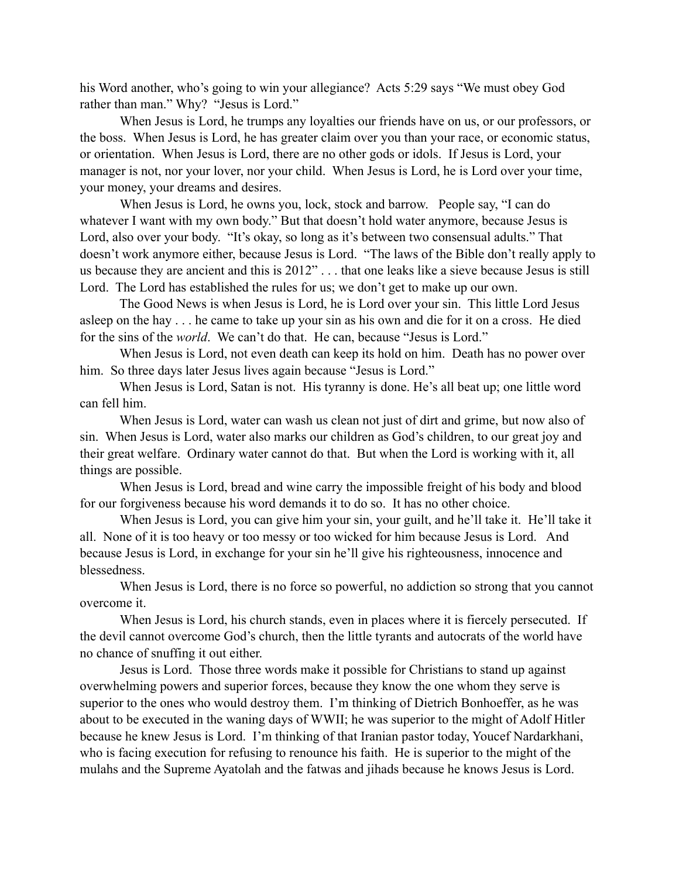his Word another, who's going to win your allegiance? Acts 5:29 says "We must obey God rather than man." Why? "Jesus is Lord."

When Jesus is Lord, he trumps any loyalties our friends have on us, or our professors, or the boss. When Jesus is Lord, he has greater claim over you than your race, or economic status, or orientation. When Jesus is Lord, there are no other gods or idols. If Jesus is Lord, your manager is not, nor your lover, nor your child. When Jesus is Lord, he is Lord over your time, your money, your dreams and desires.

When Jesus is Lord, he owns you, lock, stock and barrow. People say, "I can do whatever I want with my own body." But that doesn't hold water anymore, because Jesus is Lord, also over your body. "It's okay, so long as it's between two consensual adults." That doesn't work anymore either, because Jesus is Lord. "The laws of the Bible don't really apply to us because they are ancient and this is 2012" . . . that one leaks like a sieve because Jesus is still Lord. The Lord has established the rules for us; we don't get to make up our own.

 The Good News is when Jesus is Lord, he is Lord over your sin. This little Lord Jesus asleep on the hay . . . he came to take up your sin as his own and die for it on a cross. He died for the sins of the *world*. We can't do that. He can, because "Jesus is Lord."

 When Jesus is Lord, not even death can keep its hold on him. Death has no power over him. So three days later Jesus lives again because "Jesus is Lord."

 When Jesus is Lord, Satan is not. His tyranny is done. He's all beat up; one little word can fell him.

 When Jesus is Lord, water can wash us clean not just of dirt and grime, but now also of sin. When Jesus is Lord, water also marks our children as God's children, to our great joy and their great welfare. Ordinary water cannot do that. But when the Lord is working with it, all things are possible.

When Jesus is Lord, bread and wine carry the impossible freight of his body and blood for our forgiveness because his word demands it to do so. It has no other choice.

When Jesus is Lord, you can give him your sin, your guilt, and he'll take it. He'll take it all. None of it is too heavy or too messy or too wicked for him because Jesus is Lord. And because Jesus is Lord, in exchange for your sin he'll give his righteousness, innocence and blessedness.

When Jesus is Lord, there is no force so powerful, no addiction so strong that you cannot overcome it.

When Jesus is Lord, his church stands, even in places where it is fiercely persecuted. If the devil cannot overcome God's church, then the little tyrants and autocrats of the world have no chance of snuffing it out either.

Jesus is Lord. Those three words make it possible for Christians to stand up against overwhelming powers and superior forces, because they know the one whom they serve is superior to the ones who would destroy them. I'm thinking of Dietrich Bonhoeffer, as he was about to be executed in the waning days of WWII; he was superior to the might of Adolf Hitler because he knew Jesus is Lord. I'm thinking of that Iranian pastor today, Youcef Nardarkhani, who is facing execution for refusing to renounce his faith. He is superior to the might of the mulahs and the Supreme Ayatolah and the fatwas and jihads because he knows Jesus is Lord.